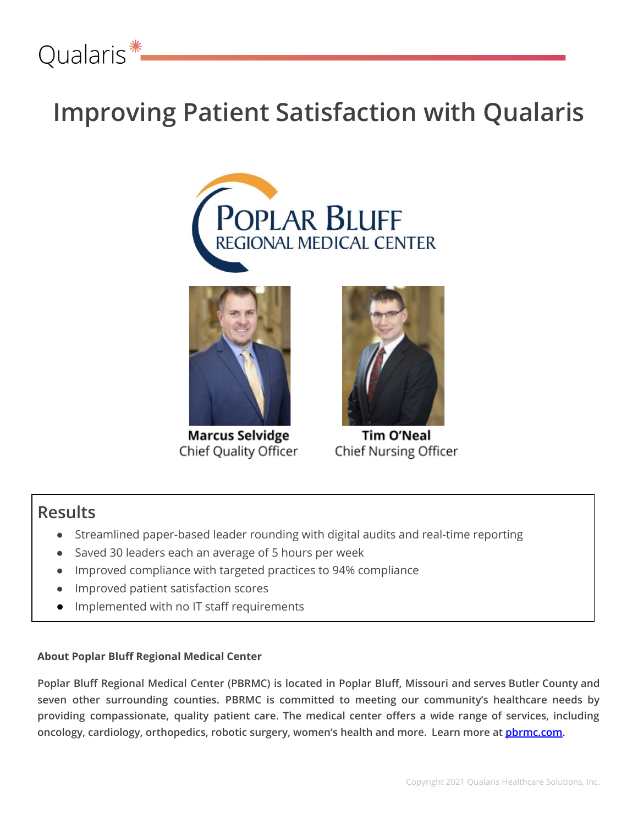

## **Improving Patient Satisfaction with Qualaris**





**Marcus Selvidge** Chief Quality Officer



**Tim O'Neal** Chief Nursing Officer

### **Results**

- Streamlined paper-based leader rounding with digital audits and real-time reporting
- Saved 30 leaders each an average of 5 hours per week
- Improved compliance with targeted practices to 94% compliance
- Improved patient satisfaction scores
- Implemented with no IT staff requirements

### **About Poplar Bluff Regional Medical Center**

Poplar Bluff Regional Medical Center (PBRMC) is located in Poplar Bluff, Missouri and serves Butler County and **seven other surrounding counties. PBRMC is committed to meeting our community's healthcare needs by providing compassionate, quality patient care. The medical center offers a wide range of services, including oncology, cardiology, orthopedics, robotic surgery, women's health and more. Learn more at [pbrmc.com.](https://www.pbrmc.com/)**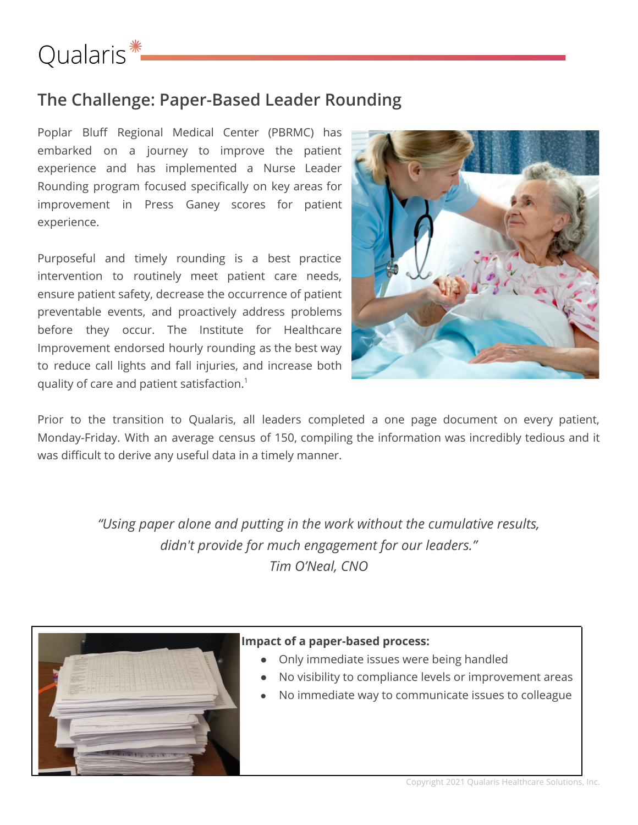# Qualaris<sup>\*</sup>

### **The Challenge: Paper-Based Leader Rounding**

Poplar Bluff Regional Medical Center (PBRMC) has embarked on a journey to improve the patient experience and has implemented a Nurse Leader Rounding program focused specifically on key areas for improvement in Press Ganey scores for patient experience.

Purposeful and timely rounding is a best practice intervention to routinely meet patient care needs, ensure patient safety, decrease the occurrence of patient preventable events, and proactively address problems before they occur. The Institute for Healthcare Improvement endorsed hourly rounding as the best way to reduce call lights and fall injuries, and increase both quality of care and patient satisfaction. 1



Prior to the transition to Qualaris, all leaders completed a one page document on every patient, Monday-Friday. With an average census of 150, compiling the information was incredibly tedious and it was difficult to derive any useful data in a timely manner.

> *"Using paper alone and putting in the work without the cumulative results, didn't provide for much engagement for our leaders." Tim O'Neal, CNO*



### **Impact of a paper-based process:**

- Only immediate issues were being handled
- No visibility to compliance levels or improvement areas
- **●** No immediate way to communicate issues to colleague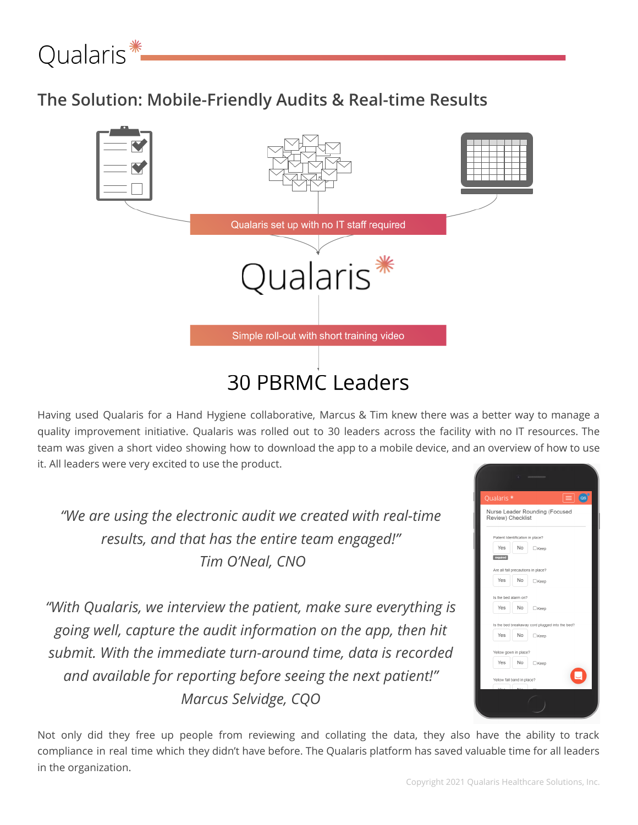

### **The Solution: Mobile-Friendly Audits & Real-time Results**



Having used Qualaris for a Hand Hygiene collaborative, Marcus & Tim knew there was a better way to manage a quality improvement initiative. Qualaris was rolled out to 30 leaders across the facility with no IT resources. The team was given a short video showing how to download the app to a mobile device, and an overview of how to use it. All leaders were very excited to use the product.

*"We are using the electronic audit we created with real-time results, and that has the entire team engaged!" Tim O'Neal, CNO*

*"With Qualaris, we interview the patient, make sure everything is going well, capture the audit information on the app, then hit submit. With the immediate turn-around time, data is recorded and available for reporting before seeing the next patient!" Marcus Selvidge, CQO*



Not only did they free up people from reviewing and collating the data, they also have the ability to track compliance in real time which they didn't have before. The Qualaris platform has saved valuable time for all leaders in the organization.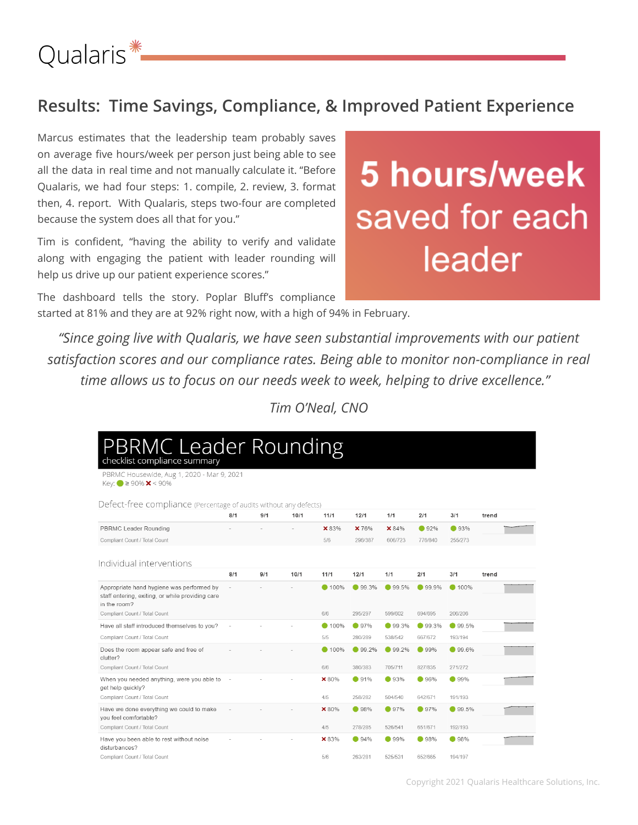

### **Results: Time Savings, Compliance, & Improved Patient Experience**

Marcus estimates that the leadership team probably saves on average five hours/week per person just being able to see all the data in real time and not manually calculate it. "Before Qualaris, we had four steps: 1. compile, 2. review, 3. format then, 4. report. With Qualaris, steps two-four are completed because the system does all that for you."

Tim is confident, "having the ability to verify and validate along with engaging the patient with leader rounding will help us drive up our patient experience scores."

The dashboard tells the story. Poplar Bluff's compliance started at 81% and they are at 92% right now, with a high of 94% in February.

# 5 hours/week saved for each leader

*"Since going live with Qualaris, we have seen substantial improvements with our patient satisfaction scores and our compliance rates. Being able to monitor non-compliance in real time allows us to focus on our needs week to week, helping to drive excellence."*

*Tim O'Neal, CNO*

| <b>PBRMC Leader Rounding</b>                                                                                  |        |     |      |        |               |         |         |          |       |
|---------------------------------------------------------------------------------------------------------------|--------|-----|------|--------|---------------|---------|---------|----------|-------|
| checklist compliance summary<br>PBRMC Housewide, Aug 1, 2020 - Mar 9, 2021                                    |        |     |      |        |               |         |         |          |       |
| Key: ● ≥ 90% × < 90%                                                                                          |        |     |      |        |               |         |         |          |       |
| Defect-free compliance (Percentage of audits without any defects)                                             |        |     |      |        |               |         |         |          |       |
|                                                                                                               | 8/1    | 9/1 | 10/1 | 11/1   | 12/1          | 1/1     | 2/1     | 3/1      | trend |
| PBRMC Leader Rounding                                                                                         |        |     |      | ×83%   | × 76%         | × 84%   | ● 92%   | ● 93%    |       |
| Compliant Count / Total Count                                                                                 |        |     |      | 5/6    | 296/387       | 606/723 | 776/840 | 255/273  |       |
|                                                                                                               |        |     |      |        |               |         |         |          |       |
| Individual interventions                                                                                      |        |     |      |        |               |         |         |          |       |
|                                                                                                               | 8/1    | 9/1 | 10/1 | 11/1   | 12/1          | 1/1     | 2/1     | 3/1      | trend |
| Appropriate hand hygiene was performed by<br>staff entering, exiting, or while providing care<br>in the room? |        |     |      | ● 100% | ● 99.3%       | ● 99.5% | ● 99.9% | ● 100%   |       |
| Compliant Count / Total Count                                                                                 |        |     |      | 6/6    | 295/297       | 599/602 | 694/695 | 206/206  |       |
| Have all staff introduced themselves to you?                                                                  |        |     |      | ● 100% | 97%           | ● 99.3% | ● 99.3% | ● 99.5%  |       |
| Compliant Count / Total Count                                                                                 |        |     |      | 5/5    | 280/289       | 538/542 | 667/672 | 193/194  |       |
| Does the room appear safe and free of<br>clutter?                                                             |        |     |      | ● 100% | ● 99.2%       | ● 99.2% | ● 99%   | $99.6\%$ |       |
| Compliant Count / Total Count                                                                                 |        |     |      | 6/6    | 380/383       | 705/711 | 827/835 | 271/272  |       |
| When you needed anything, were you able to<br>get help quickly?                                               | $\sim$ |     |      | × 80%  | •91%          | ● 93%   | •96%    | $99\%$   |       |
| Compliant Count / Total Count                                                                                 |        |     |      | 4/5    | 258/282       | 504/540 | 642/671 | 191/193  |       |
| Have we done everything we could to make<br>you feel comfortable?                                             |        |     |      | × 80%  | •98%          | ● 97%   | ● 97%   | 99.5%    |       |
| Compliant Count / Total Count                                                                                 |        |     |      | 4/5    | 278/285       | 526/541 | 651/671 | 192/193  |       |
| Have you been able to rest without noise<br>disturbances?                                                     |        |     |      | × 83%  | $\bullet$ 94% | ● 99%   | ● 98%   | 98%      |       |
| Compliant Count / Total Count                                                                                 |        |     |      | 5/6    | 263/281       | 525/531 | 652/665 | 194/197  |       |